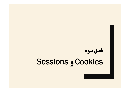# **فصل سوم Sessions و Cookies**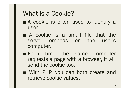# What is a Cookie?

- A cookie is often used to identify a user.
- A cookie is a small file that the server embeds on the user's computer.
- Each time the same computer requests a page with a browser, it will send the cookie too.
- With PHP, you can both create and retrieve cookie values.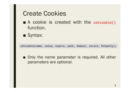#### Create Cookies

- A cookie is created with the setcookie() function.
- Syntax:

setcookie(name, value, expire, path, domain, secure, httponly);

■ Only the name parameter is required. All other parameters are optional.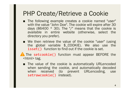# PHP Create/Retrieve a Cookie

- The following example creates a cookie named "user" with the value "John Doe". The cookie will expire after 30 days (86400  $*$  30). The "/" means that the cookie is available in entire website (otherwise, select the directory you prefer).
- We then retrieve the value of the cookie "user" (using the global variable \$\_COOKIE). We also use the isset() function to find out if the cookie is set.
- **A** The setcookie() function must appear BEFORE the <html> tag.
	- The value of the cookie is automatically URLencoded when sending the cookie, and automatically decoded when received (to prevent URLencoding, use setrawcookie() instead).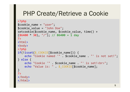#### PHP Create/Retrieve a Cookie

```
<?php
$cookie_name = "user";
$cookie_value = "John Doe";
setcookie($cookie_name, $cookie_value, time() + 
(86400 * 30), "/"); // 86400 = 1 day
?>
<html>
<body>
<?php
if(!isset($_COOKIE[$cookie_name])) {
    echo "Cookie named '" . $cookie_name . "' is not set!";
} else {
    echo "Cookie '" . $cookie_name . "' is set!<br>";
    echo "Value is: " . $_COOKIE[$cookie_name];
}
?>
</body>
</html>
```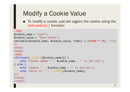# Modify a Cookie Value

■ To modify a cookie, just set (again) the cookie using the setcookie() function:

```
<?php
$cookie_name = "user";
$cookie_value = "Alex Porter";
setcookie($cookie_name, $cookie_value, time() + (86400 * 30), "/");
?>
<html>
<body>
<?php
if(!isset($_COOKIE[$cookie_name])) {
    echo "Cookie named '" . $cookie_name . "' is not set!";
} else {
    echo "Cookie '" . $cookie name . "' is set!<br>";
    echo "Value is: " . $ COOKIE[$cookie name];
}?>
</body>
</html>
```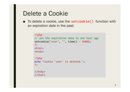#### Delete a Cookie

■ To delete a cookie, use the setcookie() function with an expiration date in the past:

```
<?php
// set the expiration date to one hour ago
setcookie("user", "", time() - 3600);
?>
\langlehtml\rangle<body>
<?php
echo "Cookie 'user' is deleted.";
?>
</body>
</html>
```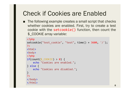# Check if Cookies are Enabled

■ The following example creates a small script that checks whether cookies are enabled. First, try to create a test cookie with the setcookie() function, then count the \$\_COOKIE array variable:

```
<?php
setcookie("test_cookie", "test", time() + 3600, '/');
?>
<html>
<body>
<?php
if(count(<math>\$ COOKIE) > 0) {
    echo "Cookies are enabled.";
} else {
    echo "Cookies are disabled.";
}
?>
</body>
</html>
```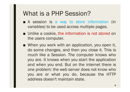#### What is a PHP Session?

- A session is a way to store information (in variables) to be used across multiple pages.
- Unlike a cookie, the information is not stored on the users computer.
- When you work with an application, you open it, do some changes, and then you close it. This is much like a Session. The computer knows who you are. It knows when you start the application and when you end. But on the internet there is one problem: the web server does not know who you are or what you do, because the HTTP address doesn't maintain state.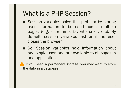## What is a PHP Session?

- Session variables solve this problem by storing user information to be used across multiple pages (e.g. username, favorite color, etc). By default, session variables last until the user closes the browser.
- So; Session variables hold information about one single user, and are available to all pages in one application.

If you need a permanent storage, you may want to store the data in a database.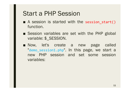#### Start a PHP Session

- A session is started with the session start() function.
- Session variables are set with the PHP global variable: \$\_SESSION.
- Now, let's create a new page called "demo session1.php". In this page, we start a new PHP session and set some session variables: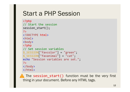## Start a PHP Session

```
<?php
// Start the session
session start();
?>
<!DOCTYPE html>
\left\langle \text{html}\right\rangle<body>
<?php
// Set session variables
$_SESSION["favcolor"] = "green";
$_SESSION["favanimal"] = "cat";
echo "Session variables are set.";
?>
</body>
</html>
```
**The session start()** function must be the very first thing in your document. Before any HTML tags.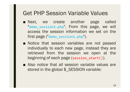#### Get PHP Session Variable Values

- Next, we create another page called "demo session2.php". From this page, we will access the session information we set on the first page ("demo\_session1.php").
- Notice that session variables are not passed individually to each new page, instead they are retrieved from the session we open at the beginning of each page (session\_start()).
- Also notice that all session variable values are stored in the global \$\_SESSION variable: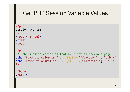#### Get PHP Session Variable Values

```
<?php
session start();
?>
<!DOCTYPE html>
<html>
<body>
<?php
// Echo session variables that were set on previous page
echo "Favorite color is " . $_SESSION["favcolor"] . ".<br>";
echo "Favorite animal is " . $_SESSION["favanimal"] . ".";
?>
</body>
```
</html>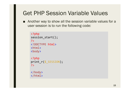#### Get PHP Session Variable Values

■ Another way to show all the session variable values for a user session is to run the following code:

```
<?php
session_start();
?>
<!DOCTYPE html>
<html>
<body>
<?php
print_r($_SESSION);
?>
```
</body> </html>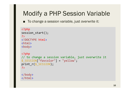# Modify a PHP Session Variable

■ To change a session variable, just overwrite it:

```
<?php
session start();
?<!DOCTYPE html>
<html>
<body>
<?php
// to change a session variable, just overwrite it
```

```
$_SESSION["favcolor"] = "yellow";
print r($ SESSION);
```

```
?>
```
</body> </html>